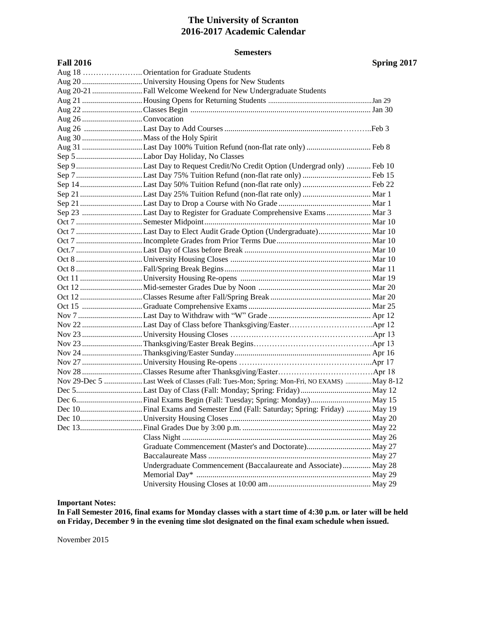# **The University of Scranton 2016-2017 Academic Calendar**

### **Semesters**

**Fall 2016 Spring 2017**

|                    | Aug 18  Orientation for Graduate Students                                              |  |
|--------------------|----------------------------------------------------------------------------------------|--|
|                    |                                                                                        |  |
|                    | Aug 20-21 Fall Welcome Weekend for New Undergraduate Students                          |  |
|                    |                                                                                        |  |
|                    |                                                                                        |  |
| Aug 26 Convocation |                                                                                        |  |
|                    |                                                                                        |  |
|                    |                                                                                        |  |
|                    | Aug 31 Last Day 100% Tuition Refund (non-flat rate only)  Feb 8                        |  |
|                    |                                                                                        |  |
|                    | Sep 9 Last Day to Request Credit/No Credit Option (Undergrad only)  Feb 10             |  |
|                    |                                                                                        |  |
|                    | Sep 14Last Day 50% Tuition Refund (non-flat rate only)  Feb 22                         |  |
|                    | Sep 21 Last Day 25% Tuition Refund (non-flat rate only)  Mar 1                         |  |
|                    |                                                                                        |  |
|                    | Sep 23 Last Day to Register for Graduate Comprehensive Exams  Mar 3                    |  |
|                    |                                                                                        |  |
|                    | Oct 7 Last Day to Elect Audit Grade Option (Undergraduate) Mar 10                      |  |
|                    |                                                                                        |  |
|                    |                                                                                        |  |
|                    |                                                                                        |  |
|                    |                                                                                        |  |
|                    |                                                                                        |  |
|                    |                                                                                        |  |
|                    |                                                                                        |  |
|                    |                                                                                        |  |
|                    |                                                                                        |  |
|                    |                                                                                        |  |
|                    |                                                                                        |  |
|                    |                                                                                        |  |
|                    |                                                                                        |  |
|                    |                                                                                        |  |
|                    |                                                                                        |  |
|                    | Nov 29-Dec 5 Last Week of Classes (Fall: Tues-Mon; Spring: Mon-Fri, NO EXAMS) May 8-12 |  |
|                    |                                                                                        |  |
|                    |                                                                                        |  |
|                    |                                                                                        |  |
|                    |                                                                                        |  |
|                    |                                                                                        |  |
|                    |                                                                                        |  |
|                    | Graduate Commencement (Master's and Doctorate) May 27                                  |  |
|                    |                                                                                        |  |
|                    | Undergraduate Commencement (Baccalaureate and Associate) May 28                        |  |
|                    |                                                                                        |  |
|                    |                                                                                        |  |

### **Important Notes:**

**In Fall Semester 2016, final exams for Monday classes with a start time of 4:30 p.m. or later will be held on Friday, December 9 in the evening time slot designated on the final exam schedule when issued.**

November 2015